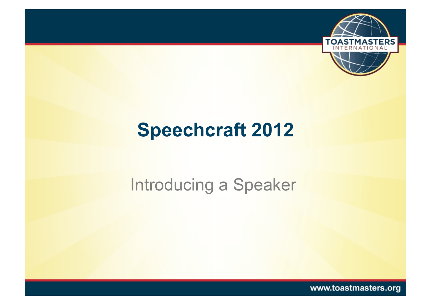

## **Speechcraft 2012**

#### Introducing a Speaker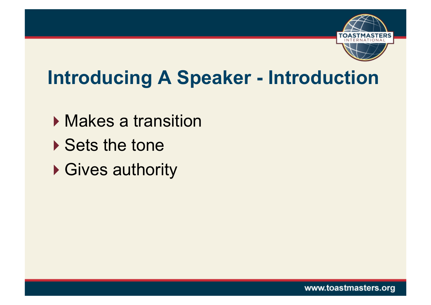

## **Introducing A Speaker - Introduction**

- ▶ Makes a transition
- ▶ Sets the tone
- ▶ Gives authority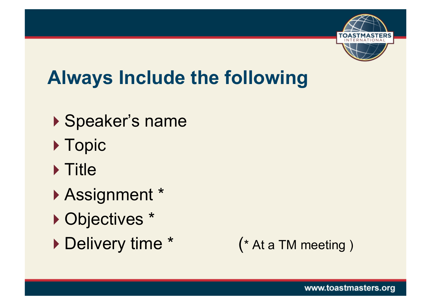

## **Always Include the following**

- ▶ Speaker's name
- ▶ Topic
- $\triangleright$  Title
- Assignment \*
- ▶ Objectives \*
- Delivery time \* (\* At a TM meeting )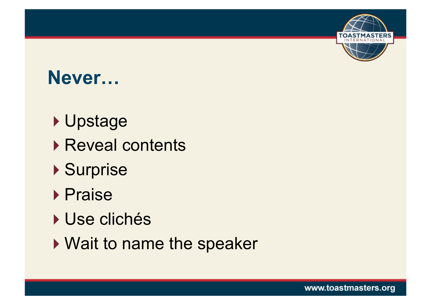

#### **Never…**

- ▶ Upstage
- ▶ Reveal contents
- ▶ Surprise
- ▶ Praise
- ▶ Use clichés
- ▶ Wait to name the speaker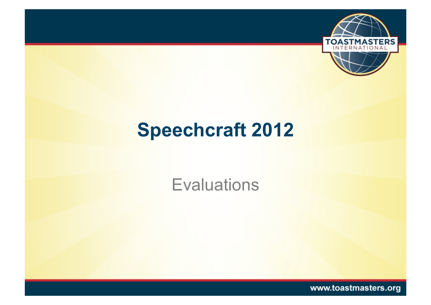

# **Speechcraft 2012**

**Evaluations**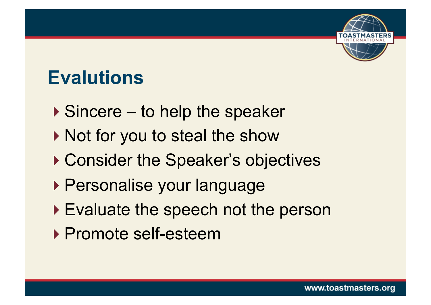

#### **Evalutions**

- ▶ Sincere to help the speaker
- ▶ Not for you to steal the show
- ▶ Consider the Speaker's objectives
- ▶ Personalise your language
- ▶ Evaluate the speech not the person
- ▶ Promote self-esteem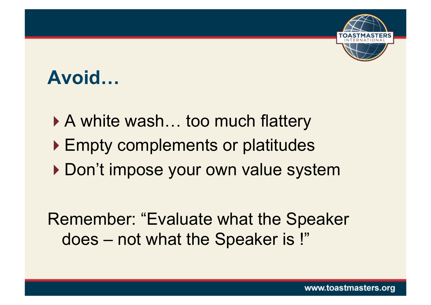

## **Avoid…**

▶ A white wash... too much flattery ▶ Empty complements or platitudes ▶ Don't impose your own value system Remember: "Evaluate what the Speaker

does – not what the Speaker is !"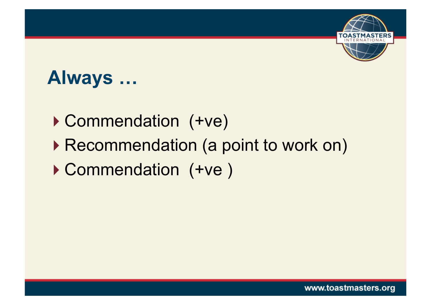

#### **Always …**

- ▶ Commendation (+ve)
- ▶ Recommendation (a point to work on)
- Commendation (+ve )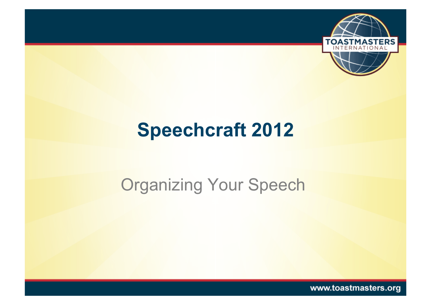

## **Speechcraft 2012**

#### **Organizing Your Speech**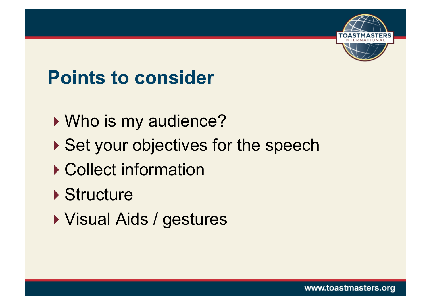

## **Points to consider**

- ▶ Who is my audience?
- ▶ Set your objectives for the speech
- ▶ Collect information
- ▶ Structure
- Visual Aids / gestures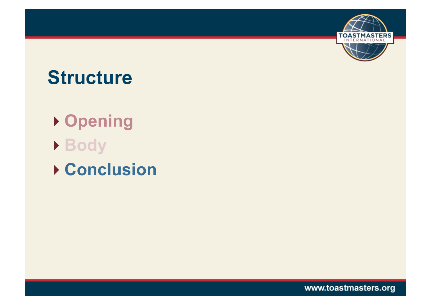

#### **Structure**

**Opening Body Conclusion** 

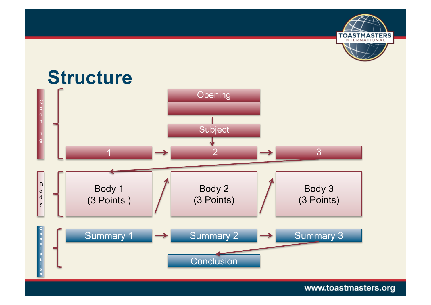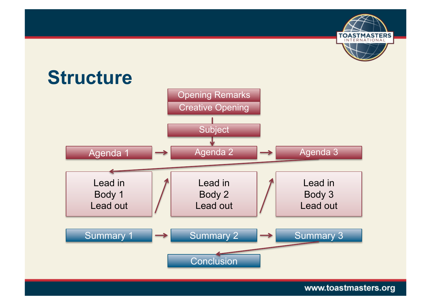

www.toastmasters.org

**TOASTMASTERS**